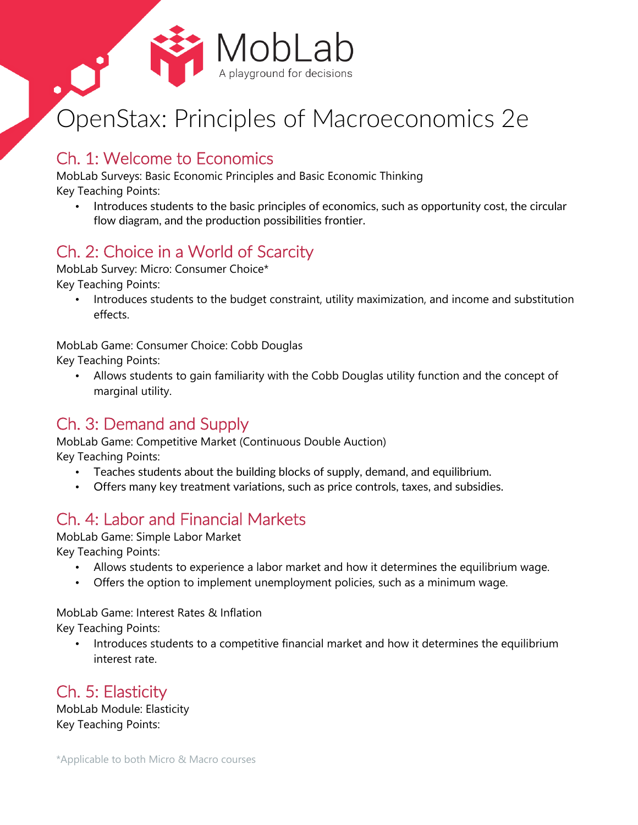

# OpenStax: Principles of Macroeconomics 2e

### Ch. 1: Welcome to Economics

MobLab Surveys: Basic Economic Principles and Basic Economic Thinking

Key Teaching Points:

Introduces students to the basic principles of economics, such as opportunity cost, the circular flow diagram, and the production possibilities frontier.

# Ch. 2: Choice in a World of Scarcity

MobLab Survey: Micro: Consumer Choice\*

Key Teaching Points:

• Introduces students to the budget constraint, utility maximization, and income and substitution effects.

MobLab Game: Consumer Choice: Cobb Douglas

Key Teaching Points:

• Allows students to gain familiarity with the Cobb Douglas utility function and the concept of marginal utility.

# Ch. 3: Demand and Supply

MobLab Game: Competitive Market (Continuous Double Auction) Key Teaching Points:

- Teaches students about the building blocks of supply, demand, and equilibrium.
- Offers many key treatment variations, such as price controls, taxes, and subsidies.

## Ch. 4: Labor and Financial Markets

MobLab Game: Simple Labor Market

Key Teaching Points:

- Allows students to experience a labor market and how it determines the equilibrium wage.
- Offers the option to implement unemployment policies, such as a minimum wage.

MobLab Game: Interest Rates & Inflation

Key Teaching Points:

• Introduces students to a competitive financial market and how it determines the equilibrium interest rate.

Ch. 5: Elasticity

MobLab Module: Elasticity Key Teaching Points: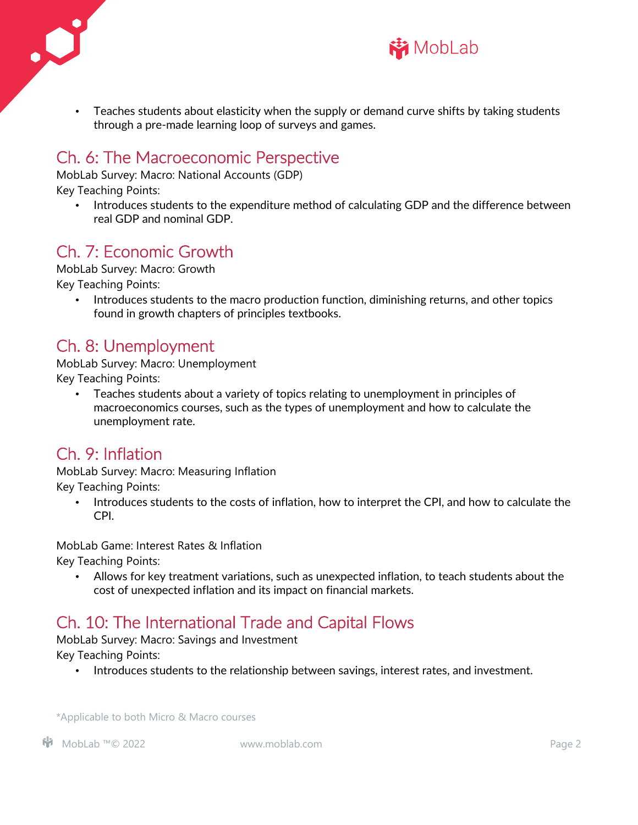



• Teaches students about elasticity when the supply or demand curve shifts by taking students through a pre-made learning loop of surveys and games.

#### Ch. 6: The Macroeconomic Perspective

MobLab Survey: Macro: National Accounts (GDP)

Key Teaching Points:

• Introduces students to the expenditure method of calculating GDP and the difference between real GDP and nominal GDP.

## Ch. 7: Economic Growth

MobLab Survey: Macro: Growth Key Teaching Points:

• Introduces students to the macro production function, diminishing returns, and other topics found in growth chapters of principles textbooks.

### Ch. 8: Unemployment

MobLab Survey: Macro: Unemployment Key Teaching Points:

• Teaches students about a variety of topics relating to unemployment in principles of macroeconomics courses, such as the types of unemployment and how to calculate the unemployment rate.

## Ch. 9: Inflation

MobLab Survey: Macro: Measuring Inflation Key Teaching Points:

• Introduces students to the costs of inflation, how to interpret the CPI, and how to calculate the CPI.

MobLab Game: Interest Rates & Inflation

Key Teaching Points:

• Allows for key treatment variations, such as unexpected inflation, to teach students about the cost of unexpected inflation and its impact on financial markets.

# Ch. 10: The International Trade and Capital Flows

MobLab Survey: Macro: Savings and Investment

Key Teaching Points:

• Introduces students to the relationship between savings, interest rates, and investment.

\*Applicable to both Micro & Macro courses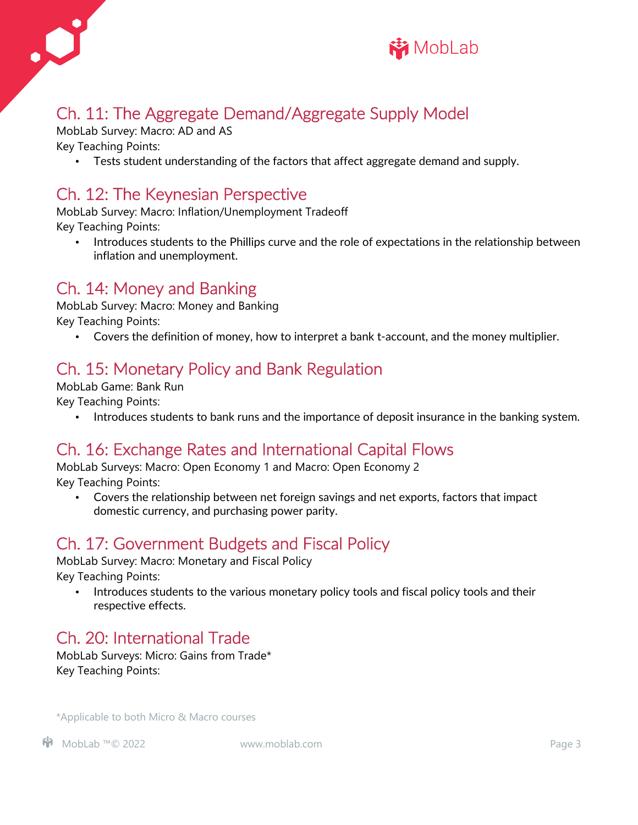



# Ch. 11: The Aggregate Demand/Aggregate Supply Model

MobLab Survey: Macro: AD and AS

Key Teaching Points:

• Tests student understanding of the factors that affect aggregate demand and supply.

## Ch. 12: The Keynesian Perspective

MobLab Survey: Macro: Inflation/Unemployment Tradeoff Key Teaching Points:

• Introduces students to the Phillips curve and the role of expectations in the relationship between inflation and unemployment.

#### Ch. 14: Money and Banking

MobLab Survey: Macro: Money and Banking Key Teaching Points:

• Covers the definition of money, how to interpret a bank t-account, and the money multiplier.

## Ch. 15: Monetary Policy and Bank Regulation

MobLab Game: Bank Run Key Teaching Points:

• Introduces students to bank runs and the importance of deposit insurance in the banking system.

#### Ch. 16: Exchange Rates and International Capital Flows

MobLab Surveys: Macro: Open Economy 1 and Macro: Open Economy 2 Key Teaching Points:

• Covers the relationship between net foreign savings and net exports, factors that impact domestic currency, and purchasing power parity.

#### Ch. 17: Government Budgets and Fiscal Policy

MobLab Survey: Macro: Monetary and Fiscal Policy Key Teaching Points:

• Introduces students to the various monetary policy tools and fiscal policy tools and their respective effects.

## Ch. 20: International Trade

MobLab Surveys: Micro: Gains from Trade\* Key Teaching Points:

\*Applicable to both Micro & Macro courses